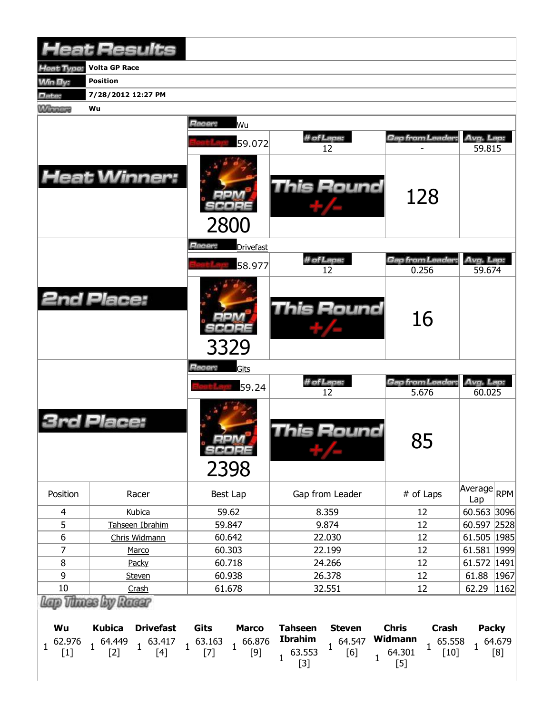|                       | <b>Heat Results</b>                                                                                                                                      |                            |                                                                                        |                                                       |                                               |
|-----------------------|----------------------------------------------------------------------------------------------------------------------------------------------------------|----------------------------|----------------------------------------------------------------------------------------|-------------------------------------------------------|-----------------------------------------------|
| Heat Type:            | <b>Volta GP Race</b>                                                                                                                                     |                            |                                                                                        |                                                       |                                               |
| Win By:               | <b>Position</b>                                                                                                                                          |                            |                                                                                        |                                                       |                                               |
| <b>Date:</b>          | 7/28/2012 12:27 PM                                                                                                                                       |                            |                                                                                        |                                                       |                                               |
| <b>MARGARY</b>        | Wu                                                                                                                                                       |                            |                                                                                        |                                                       |                                               |
|                       |                                                                                                                                                          | Racer:<br>Wu               |                                                                                        |                                                       |                                               |
|                       |                                                                                                                                                          | 59.072                     | # of Laps:                                                                             | Gap from Leader:                                      | Avg. Lap:                                     |
|                       |                                                                                                                                                          |                            | 12                                                                                     |                                                       | 59.815                                        |
|                       | <b>Heat Winner:</b>                                                                                                                                      | 2800                       | This Round                                                                             | 128                                                   |                                               |
|                       |                                                                                                                                                          | Racer:<br><b>Drivefast</b> |                                                                                        |                                                       |                                               |
|                       |                                                                                                                                                          | 58.977                     | # of Laps:                                                                             | Gap from Leader                                       | Avg. Lap:                                     |
|                       |                                                                                                                                                          |                            | 12                                                                                     | 0.256                                                 | 59.674                                        |
|                       | <b>2nd Place:</b>                                                                                                                                        | 3329                       | This Round                                                                             | 16                                                    |                                               |
|                       |                                                                                                                                                          | Racer:<br>Gits             | # of Laps:                                                                             | Gap from Leader:                                      |                                               |
|                       |                                                                                                                                                          | 59.24                      | 12                                                                                     | 5.676                                                 | Avg. Lap:<br>60.025                           |
|                       | Place:                                                                                                                                                   | oom<br>SCORE<br>2398       | This Round                                                                             | 85                                                    |                                               |
| Position              | Racer                                                                                                                                                    | Best Lap                   | Gap from Leader                                                                        | # of Laps                                             | $\sqrt{\text{Average}}$ <sub>RPM</sub><br>Lap |
| $\overline{4}$        | Kubica                                                                                                                                                   | 59.62                      | 8.359                                                                                  | 12                                                    | 60.563 3096                                   |
| 5                     | Tahseen Ibrahim                                                                                                                                          | 59.847                     | 9.874                                                                                  | 12                                                    | 60.597 2528                                   |
| $\boldsymbol{6}$      | Chris Widmann                                                                                                                                            | 60.642                     | 22.030                                                                                 | 12                                                    | 61.505   1985                                 |
| $\overline{7}$        | Marco                                                                                                                                                    | 60.303                     | 22.199                                                                                 | 12                                                    | 61.581 1999                                   |
| 8<br>9                | Packy                                                                                                                                                    | 60.718                     | 24.266<br>26.378                                                                       | 12<br>12                                              | 61.572 1491<br>61.88<br>1967                  |
| 10                    | <b>Steven</b><br>Crash                                                                                                                                   | 60.938<br>61.678           | 32.551                                                                                 | 12                                                    | 62.29<br> 1162                                |
|                       | Lap Those by Racer                                                                                                                                       |                            |                                                                                        |                                                       |                                               |
| Wu                    | <b>Kubica</b><br><b>Drivefast</b>                                                                                                                        | Gits<br><b>Marco</b>       | <b>Tahseen</b><br><b>Steven</b>                                                        | <b>Chris</b><br>Crash                                 | <b>Packy</b>                                  |
| $1^{62.976}$<br>$[1]$ | $\begin{array}{cccccc} 1 & 64.449 & 1 & 63.417 & 1 & 63.163 & 1 & 66.876 \\ \text{[2]} & & 1 & \text{[4]} & & \text{[7]} & & 1 & \text{[9]} \end{array}$ |                            | <b>Ibrahim</b><br>$1^{64.547}$ Widmann<br>$1^{63.553}$<br>[6]<br>$\mathbf{1}$<br>$[3]$ | 65.558<br>$\overline{1}$<br>$[10]$<br>64.301<br>$[5]$ | $1^{64.679}$<br>[8]                           |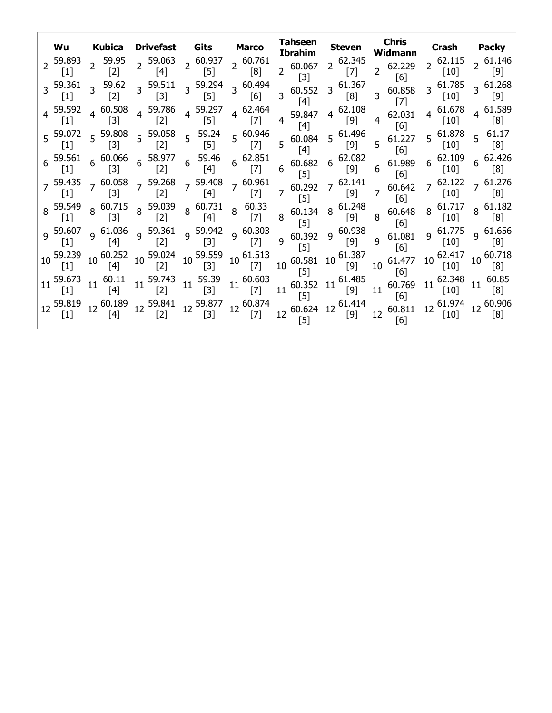| Wu                          |                | Kubica<br>59.95                | <b>Drivefast Gits</b><br>2 59.063                                                                                                                  |    |                                                        | <b>Marco</b>                  |                | Tahseen<br><b>Ibrahim</b>                                                                         |             | <b>Steven</b>               |                  | <b>Chris</b><br>Widmann |                | <b>Crash</b>                                   |                | <b>Packy</b>                             |
|-----------------------------|----------------|--------------------------------|----------------------------------------------------------------------------------------------------------------------------------------------------|----|--------------------------------------------------------|-------------------------------|----------------|---------------------------------------------------------------------------------------------------|-------------|-----------------------------|------------------|-------------------------|----------------|------------------------------------------------|----------------|------------------------------------------|
| $\lceil 1 \rceil$           |                | $[2]$                          | $[4]$                                                                                                                                              |    | $2^{60.937}$<br>$[5]$                                  | $2^{60.761}$<br>[8]           |                | $2^{60.067}$<br>$[3]$                                                                             |             | $2^{62.345}$<br>[7]         |                  | $2^{62.229}$<br>[6]     |                | $2^{62.115}$<br>$[10]$                         |                | $\lceil 9 \rceil$                        |
| 3 59.361<br>$[1]$           | $\overline{3}$ | 59.62<br>$[2]$                 | $3^{59.511}$<br>$[3]$                                                                                                                              |    | 3 59.294<br>$[5]$                                      | $3\text{ }60.494$<br>[6]      |                | $3\,60.552$<br>$[4]$                                                                              |             | $3\text{ }61.367$<br>[8]    |                  | $3\quad 60.858$<br> 7   |                | $3\frac{61.785}{5}$                            |                | $3\frac{61.268}{ }$<br>$\lceil 9 \rceil$ |
| 4 59.592<br>$[1]$           |                | $4\frac{60.508}{1}$<br>$[3]$   | $4\frac{59.786}{122}$<br>$[2]$                                                                                                                     |    | $4\frac{59.297}{ }$<br>$[5]$                           | $4\ 62.464$<br>$[7]$          | $\overline{4}$ | 59.847<br>$\lceil 4 \rceil$                                                                       | $4^{\circ}$ | 62.108<br>[9]               | $\overline{4}$   | 62.031<br>[6]           | $4^{\circ}$    | 61.678                                         |                | $4^{61.589}$<br>[8]                      |
|                             |                |                                | 5 59.072 5 59.808 5 59.058 5 59.24<br>[1] 5 [3] 5 [2] 5 [5]                                                                                        |    |                                                        | $5\frac{60.946}{ }$<br>$[7]$  |                | 5 60.084<br>$[4]$                                                                                 |             | $5\text{ }^{61.496}$<br>[9] |                  | $5\quad 61.227$<br>[6]  |                | $5\frac{61.878}{5}$<br>$[10]$                  | 5 <sup>1</sup> | 61.17<br>[8]                             |
|                             |                |                                | $6\quad \frac{59.561}{[1]} \quad 6\quad \frac{60.066}{[3]} \quad 6\quad \frac{58.977}{[2]} \quad 6\quad \frac{59.46}{[4]}$                         |    |                                                        | $6\frac{62.851}{5}$<br>$[7]$  |                | $6\begin{array}{cc} 1116 & 62.082 \\ 6 & 60.682 & 6 & 9 \end{array}$<br>$\lceil 5 \rceil$         |             |                             | 6                | 61.989<br>[6]           |                | $6^{62.109}$<br>$\lceil 10 \rceil$             |                | $6^{62.426}$<br>$\lceil 8 \rceil$        |
| $[1]$                       |                | $[3]$                          | $7\frac{59.435}{10.058}$ 7 $\frac{59.268}{10.058}$ 7 $\frac{59.408}{10.058}$<br>$[2]$                                                              |    | $[4]$                                                  | $7^{60.961}$<br>$[7]$         |                | $7\begin{array}{c} 60.292\\ 7 \end{array}$ 7 $\begin{array}{c} 62.141\\ [8] 9 \end{array}$<br>[5] |             |                             |                  | $7\quad 60.642$<br>[6]  |                | $7\begin{array}{c} 62.122 \\ [10] \end{array}$ |                | $7\,61.276$<br>[8]                       |
| $\vert 1 \vert$             |                | $8\frac{60.715}{100}$<br>$[3]$ | 8 59.039<br>$[2]$                                                                                                                                  |    | 8 60.731<br>$[4]$                                      | $8\quad 60.33$<br>$[7]$       |                | $8\begin{bmatrix}0.134 & 8 & 61.248\\ 60.134 & 8 & [9]\end{bmatrix}$<br>[5]                       |             |                             |                  | 8 60.648<br>[6]         | 8 <sup>°</sup> | $[10]$                                         |                | $8^{61.182}$<br>$\lceil 8 \rceil$        |
| 9.607<br>$[1]$              |                | $9\frac{61.036}{1}$<br>[4]     | 9 59.361<br>$[2]$                                                                                                                                  |    | 9 $\frac{59.942}{521}$ 9 $\frac{60.303}{521}$<br>$[3]$ | $[7]$                         |                | 9 60.392<br>[5]                                                                                   |             | $9\frac{60.938}{5}$<br>[9]  | 9                | 61.081<br>[6]           |                | $9\frac{61.775}{5}$<br>$[10]$                  |                | $9\,61.656$<br>[8]                       |
| 59.239<br>$\lceil 1 \rceil$ |                | $10^{60.252}$<br>[4]           | $10\frac{59.024}{53}$<br>$[2]$                                                                                                                     |    | 10 59.559<br>$[3]$                                     | $10^{61.513}$<br>[7]          |                | $10^{60.581}10^{6}$<br>$[5]$                                                                      |             | 61.387<br>[9]               | 10 <sup>°</sup>  | 61.477<br>[6]           | $10^{\circ}$   | 62.417<br>$[10]$                               |                | $10\,60.718$<br>$\lceil 8 \rceil$        |
| $\lceil 1 \rceil$           | 11             | 60.11<br>$[4]$                 | $11 \frac{59.743}{11}$<br>[2]                                                                                                                      | 11 | 59.39<br>$[3]$                                         | $11\frac{60.603}{ }$<br>$[7]$ |                | $11^{60.352}$ 11 <sup>t</sup><br>$[5]$                                                            |             | 61.485<br>[9]               | 11               | 60.769<br>[6]           | 11             | 62.348<br>$[10]$                               | 11             | 60.85<br>[8]                             |
| 59.819                      |                | $12\frac{60.189}{11}$<br>$[4]$ | $12\begin{array}{cc} 59.841 \\ 12\end{array}$ $12\begin{array}{cc} 59.877 \\ 12\end{array}$ $12\begin{array}{cc} 60.874 \\ 12\end{array}$<br>$[2]$ |    | $[3]$                                                  | $[7]$                         |                | $12\begin{array}{l}60.624\end{array}$ 12 $\frac{61.414}{12}$<br>[5]                               |             | [9]                         | 12 <sup>12</sup> | 60.811<br>[6]           | 12             | 61.974<br>$[10]$                               |                | [8]                                      |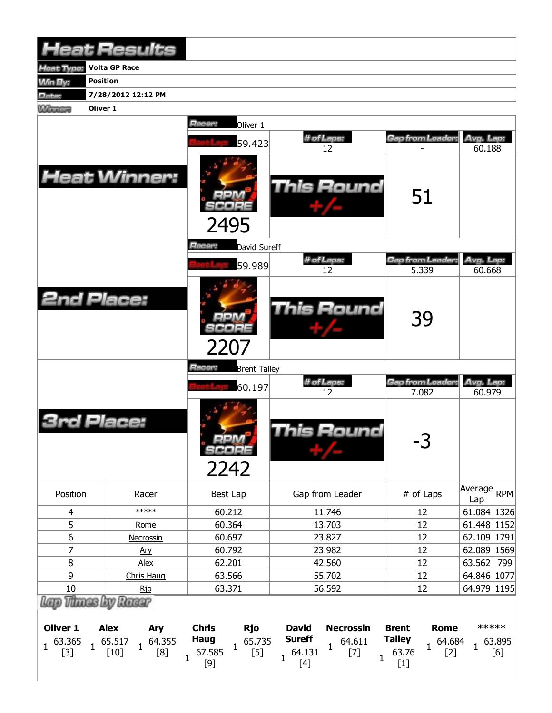|                                                                    | <b>Heat Results</b>                                                              |                                                                                                                 |                                                                                                                             |                                                                                                   |                      |               |
|--------------------------------------------------------------------|----------------------------------------------------------------------------------|-----------------------------------------------------------------------------------------------------------------|-----------------------------------------------------------------------------------------------------------------------------|---------------------------------------------------------------------------------------------------|----------------------|---------------|
| leat Type:                                                         | <b>Volta GP Race</b>                                                             |                                                                                                                 |                                                                                                                             |                                                                                                   |                      |               |
| <b>Min By:</b>                                                     | <b>Position</b>                                                                  |                                                                                                                 |                                                                                                                             |                                                                                                   |                      |               |
| Date:                                                              | 7/28/2012 12:12 PM                                                               |                                                                                                                 |                                                                                                                             |                                                                                                   |                      |               |
| Oliver 1<br><b>Winnipeg</b>                                        |                                                                                  |                                                                                                                 |                                                                                                                             |                                                                                                   |                      |               |
|                                                                    |                                                                                  | Racer:<br>Oliver 1                                                                                              |                                                                                                                             |                                                                                                   |                      |               |
|                                                                    |                                                                                  | 59.423                                                                                                          | # of Laps:                                                                                                                  | Gap from Leader:                                                                                  | Avg. Lap:            |               |
|                                                                    |                                                                                  |                                                                                                                 | 12                                                                                                                          |                                                                                                   | 60.188               |               |
|                                                                    | <b>Heat Winner:</b>                                                              | 2495                                                                                                            | This Round                                                                                                                  | 51                                                                                                |                      |               |
|                                                                    |                                                                                  | Racer:<br>David Sureff                                                                                          |                                                                                                                             |                                                                                                   |                      |               |
|                                                                    |                                                                                  | 59.989                                                                                                          | # of Laps:<br>12                                                                                                            | Gap from Leader:<br>5.339                                                                         | Avg. Lap:<br>60.668  |               |
| <b>2nd Place:</b>                                                  |                                                                                  | 2207                                                                                                            | <b>This Round</b>                                                                                                           | 39                                                                                                |                      |               |
|                                                                    |                                                                                  | Racer:<br><b>Brent Talley</b>                                                                                   |                                                                                                                             |                                                                                                   |                      |               |
|                                                                    |                                                                                  | 60.197                                                                                                          | # of Laps:                                                                                                                  | Gap from Leader:                                                                                  | Avg. Lap:            |               |
| <b>3rd Place:</b>                                                  |                                                                                  | <b>MA 4</b><br>SCORE<br>2242                                                                                    | 12<br><b>This Round</b>                                                                                                     | 7.082<br>-3                                                                                       | 60.979               |               |
| Position                                                           | Racer                                                                            | Best Lap                                                                                                        | Gap from Leader                                                                                                             | # of Laps                                                                                         | Average<br>Lap       | RPM           |
| $\overline{4}$                                                     | *****                                                                            | 60.212                                                                                                          | 11.746                                                                                                                      | 12                                                                                                | 61.084 1326          |               |
| 5                                                                  | Rome                                                                             | 60.364                                                                                                          | 13.703                                                                                                                      | 12                                                                                                | 61.448 1152          |               |
| 6                                                                  | Necrossin                                                                        | 60.697                                                                                                          | 23.827                                                                                                                      | 12                                                                                                | 62.109 1791          |               |
| 7                                                                  | Ary                                                                              | 60.792                                                                                                          | 23.982                                                                                                                      | 12                                                                                                | 62.089 1569          |               |
| 8                                                                  | Alex                                                                             | 62.201<br>42.560<br>12                                                                                          |                                                                                                                             |                                                                                                   | 63.562               | 799           |
| 9                                                                  | Chris Haug                                                                       | 63.566                                                                                                          | 55.702                                                                                                                      | 12                                                                                                | 64.846   1077        |               |
| $10\,$                                                             | <u>Rjo</u>                                                                       | 63.371                                                                                                          | 56.592                                                                                                                      | 12                                                                                                | 64.979 1195          |               |
| <b>Oliver 1</b><br>63.365<br>$\mathbf{1}$<br>$\mathbf{1}$<br>$[3]$ | Racer<br><b>Alex</b><br>Ary<br>64.355<br>65.517<br>$\mathbf{1}$<br>[8]<br>$[10]$ | <b>Chris</b><br><b>Rjo</b><br><b>Haug</b><br>65.735<br>$\mathbf{1}$<br>67.585<br>$[5]$<br>$\mathbf{1}$<br>$[9]$ | <b>David</b><br><b>Necrossin</b><br><b>Sureff</b><br>64.611<br>1<br>64.131<br>$[7]$<br>$\mathbf 1$<br>$\mathbf{1}$<br>$[4]$ | <b>Brent</b><br><b>Rome</b><br><b>Talley</b><br>64.684<br>$\mathbf{1}$<br>63.76<br>$[2]$<br>$[1]$ | *****<br>$\mathbf 1$ | 63.895<br>[6] |